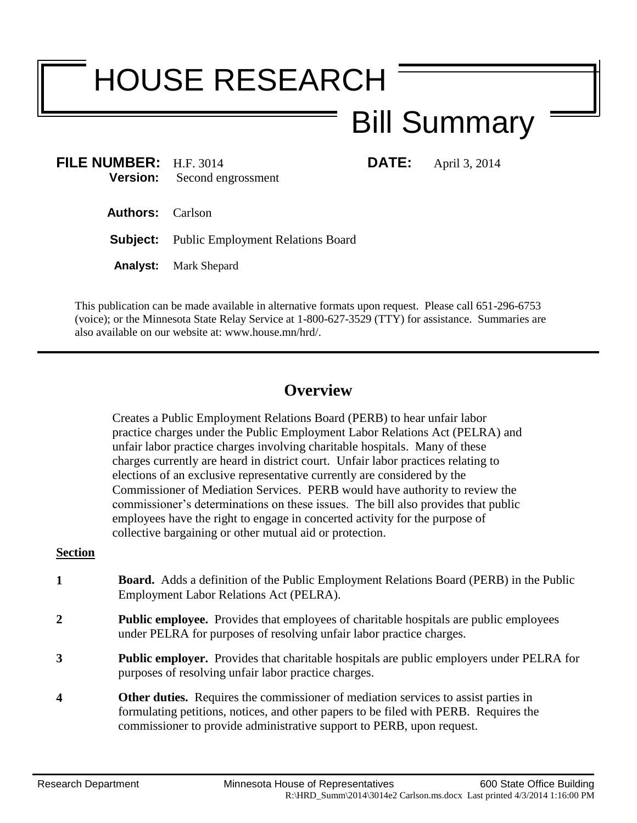# HOUSE RESEARCH

## Bill Summary

**FILE NUMBER:** H.F. 3014 **DATE:** April 3, 2014 **Version:** Second engrossment

**Authors:** Carlson

**Subject:** Public Employment Relations Board

**Analyst:** Mark Shepard

This publication can be made available in alternative formats upon request. Please call 651-296-6753 (voice); or the Minnesota State Relay Service at 1-800-627-3529 (TTY) for assistance. Summaries are also available on our website at: www.house.mn/hrd/.

### **Overview**

Creates a Public Employment Relations Board (PERB) to hear unfair labor practice charges under the Public Employment Labor Relations Act (PELRA) and unfair labor practice charges involving charitable hospitals. Many of these charges currently are heard in district court. Unfair labor practices relating to elections of an exclusive representative currently are considered by the Commissioner of Mediation Services. PERB would have authority to review the commissioner's determinations on these issues. The bill also provides that public employees have the right to engage in concerted activity for the purpose of collective bargaining or other mutual aid or protection.

#### **Section**

- **1 Board.** Adds a definition of the Public Employment Relations Board (PERB) in the Public Employment Labor Relations Act (PELRA).
- **2 Public employee.** Provides that employees of charitable hospitals are public employees under PELRA for purposes of resolving unfair labor practice charges.
- **3 Public employer.** Provides that charitable hospitals are public employers under PELRA for purposes of resolving unfair labor practice charges.
- **4 Other duties.** Requires the commissioner of mediation services to assist parties in formulating petitions, notices, and other papers to be filed with PERB. Requires the commissioner to provide administrative support to PERB, upon request.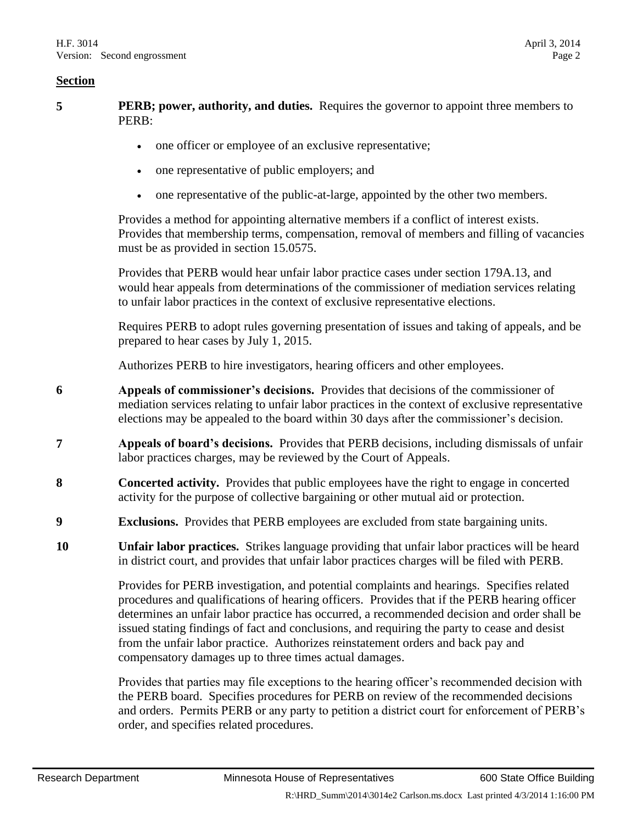#### **Section**

**5 PERB**; power, authority, and duties. Requires the governor to appoint three members to PERB:

- one officer or employee of an exclusive representative;
- one representative of public employers; and
- one representative of the public-at-large, appointed by the other two members.

Provides a method for appointing alternative members if a conflict of interest exists. Provides that membership terms, compensation, removal of members and filling of vacancies must be as provided in section 15.0575.

Provides that PERB would hear unfair labor practice cases under section 179A.13, and would hear appeals from determinations of the commissioner of mediation services relating to unfair labor practices in the context of exclusive representative elections.

Requires PERB to adopt rules governing presentation of issues and taking of appeals, and be prepared to hear cases by July 1, 2015.

Authorizes PERB to hire investigators, hearing officers and other employees.

- **6 Appeals of commissioner's decisions.** Provides that decisions of the commissioner of mediation services relating to unfair labor practices in the context of exclusive representative elections may be appealed to the board within 30 days after the commissioner's decision.
- **7 Appeals of board's decisions.** Provides that PERB decisions, including dismissals of unfair labor practices charges, may be reviewed by the Court of Appeals.
- **8 Concerted activity.** Provides that public employees have the right to engage in concerted activity for the purpose of collective bargaining or other mutual aid or protection.
- **9 Exclusions.** Provides that PERB employees are excluded from state bargaining units.
- **10 Unfair labor practices.** Strikes language providing that unfair labor practices will be heard in district court, and provides that unfair labor practices charges will be filed with PERB.

Provides for PERB investigation, and potential complaints and hearings. Specifies related procedures and qualifications of hearing officers. Provides that if the PERB hearing officer determines an unfair labor practice has occurred, a recommended decision and order shall be issued stating findings of fact and conclusions, and requiring the party to cease and desist from the unfair labor practice. Authorizes reinstatement orders and back pay and compensatory damages up to three times actual damages.

Provides that parties may file exceptions to the hearing officer's recommended decision with the PERB board. Specifies procedures for PERB on review of the recommended decisions and orders. Permits PERB or any party to petition a district court for enforcement of PERB's order, and specifies related procedures.